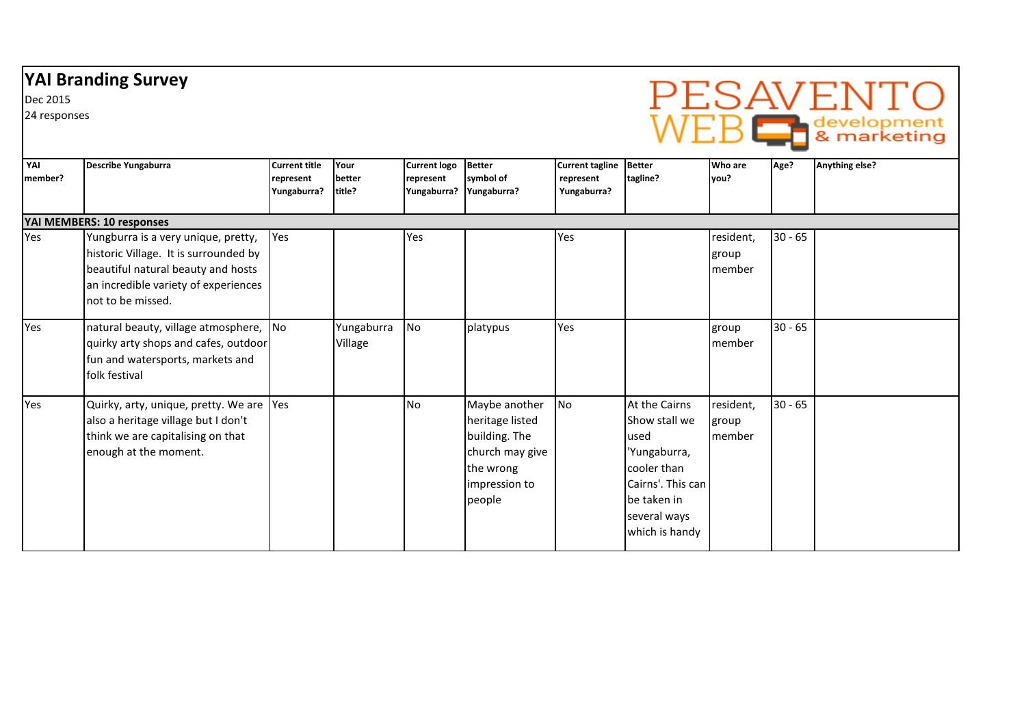## YAI Branding Survey

Dec 2015

24 responses



| YAI<br>member? | Describe Yungaburra                                                                                                                                                             | <b>Current title</b><br>represent<br>Yungaburra? | Your<br>better<br>title? | <b>Current logo</b><br>represent<br>Yungaburra? | <b>Better</b><br>symbol of<br>Yungaburra?                                                                    | Current tagline Better<br>represent<br>Yungaburra? | tagline?                                                                                                                                    | <b>Who are</b><br>vou?       | Age?      | Anything else? |
|----------------|---------------------------------------------------------------------------------------------------------------------------------------------------------------------------------|--------------------------------------------------|--------------------------|-------------------------------------------------|--------------------------------------------------------------------------------------------------------------|----------------------------------------------------|---------------------------------------------------------------------------------------------------------------------------------------------|------------------------------|-----------|----------------|
|                | YAI MEMBERS: 10 responses                                                                                                                                                       |                                                  |                          |                                                 |                                                                                                              |                                                    |                                                                                                                                             |                              |           |                |
| Yes            | Yungburra is a very unique, pretty,<br>historic Village. It is surrounded by<br>beautiful natural beauty and hosts<br>an incredible variety of experiences<br>not to be missed. | Yes                                              |                          | Yes                                             |                                                                                                              | Yes                                                |                                                                                                                                             | resident,<br>group<br>member | $30 - 65$ |                |
| Yes            | natural beauty, village atmosphere, No<br>quirky arty shops and cafes, outdoor<br>fun and watersports, markets and<br>folk festival                                             |                                                  | Yungaburra<br>Village    | <b>No</b>                                       | platypus                                                                                                     | Yes                                                |                                                                                                                                             | group<br>member              | $30 - 65$ |                |
| Yes            | Quirky, arty, unique, pretty. We are Yes<br>also a heritage village but I don't<br>think we are capitalising on that<br>enough at the moment.                                   |                                                  |                          | <b>No</b>                                       | Maybe another<br>heritage listed<br>building. The<br>church may give<br>the wrong<br>impression to<br>people | No                                                 | At the Cairns<br>Show stall we<br>used<br>'Yungaburra,<br>cooler than<br>Cairns'. This can<br>be taken in<br>several ways<br>which is handy | resident,<br>group<br>member | $30 - 65$ |                |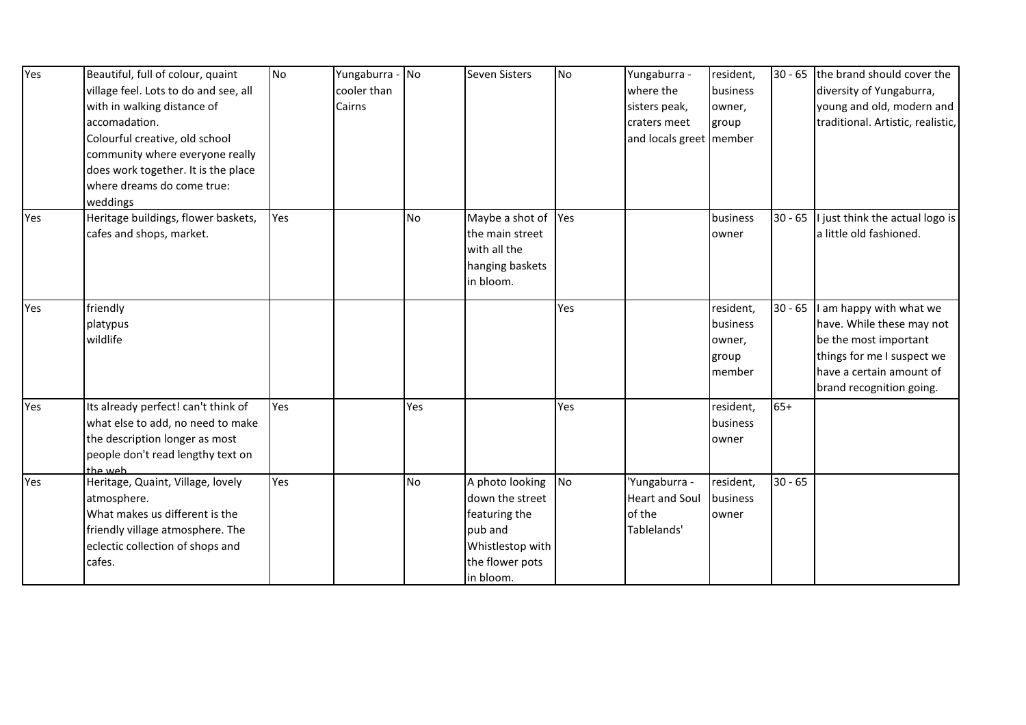| village feel. Lots to do and see, all<br>cooler than<br>where the<br>business<br>diversity of Yungaburra,<br>with in walking distance of<br>Cairns<br>young and old, modern and<br>sisters peak,<br>owner,<br>accomadation.<br>traditional. Artistic, realistic,<br>craters meet<br>group<br>Colourful creative, old school<br>and locals greet   member<br>community where everyone really<br>does work together. It is the place<br>where dreams do come true:<br>weddings<br>Heritage buildings, flower baskets,<br>Yes<br>Maybe a shot of<br>$30 - 65$<br>No<br>Yes<br>business<br>a little old fashioned.<br>cafes and shops, market.<br>the main street<br>owner<br>with all the<br>hanging baskets<br>in bloom.<br>friendly<br>resident,<br>$30 - 65$<br>Yes<br>I am happy with what we<br>have. While these may not<br>business<br>platypus<br>wildlife<br>be the most important<br>owner,<br>things for me I suspect we<br>group<br>have a certain amount of<br>member<br>brand recognition going.<br>$65+$<br>Its already perfect! can't think of<br>Yes<br>Yes<br>Yes<br>resident,<br>what else to add, no need to make<br>business<br>the description longer as most<br>owner<br>people don't read lengthy text on<br>the web<br>Yes<br>Heritage, Quaint, Village, lovely<br>A photo looking<br>No<br>$30 - 65$<br>No<br>'Yungaburra -<br>resident,<br>Yes<br>atmosphere.<br>down the street<br><b>Heart and Soul</b><br>business<br>What makes us different is the<br>of the<br>featuring the<br>owner<br>friendly village atmosphere. The<br>pub and<br>Tablelands'<br>Whistlestop with<br>eclectic collection of shops and<br>the flower pots<br>cafes. | Yes | Beautiful, full of colour, quaint | No | Yungaburra - | No | Seven Sisters | No | Yungaburra - | resident, | 30 - 65 the brand should cover the |
|------------------------------------------------------------------------------------------------------------------------------------------------------------------------------------------------------------------------------------------------------------------------------------------------------------------------------------------------------------------------------------------------------------------------------------------------------------------------------------------------------------------------------------------------------------------------------------------------------------------------------------------------------------------------------------------------------------------------------------------------------------------------------------------------------------------------------------------------------------------------------------------------------------------------------------------------------------------------------------------------------------------------------------------------------------------------------------------------------------------------------------------------------------------------------------------------------------------------------------------------------------------------------------------------------------------------------------------------------------------------------------------------------------------------------------------------------------------------------------------------------------------------------------------------------------------------------------------------------------------------------------------------------------------------|-----|-----------------------------------|----|--------------|----|---------------|----|--------------|-----------|------------------------------------|
|                                                                                                                                                                                                                                                                                                                                                                                                                                                                                                                                                                                                                                                                                                                                                                                                                                                                                                                                                                                                                                                                                                                                                                                                                                                                                                                                                                                                                                                                                                                                                                                                                                                                        |     |                                   |    |              |    |               |    |              |           |                                    |
|                                                                                                                                                                                                                                                                                                                                                                                                                                                                                                                                                                                                                                                                                                                                                                                                                                                                                                                                                                                                                                                                                                                                                                                                                                                                                                                                                                                                                                                                                                                                                                                                                                                                        |     |                                   |    |              |    |               |    |              |           |                                    |
|                                                                                                                                                                                                                                                                                                                                                                                                                                                                                                                                                                                                                                                                                                                                                                                                                                                                                                                                                                                                                                                                                                                                                                                                                                                                                                                                                                                                                                                                                                                                                                                                                                                                        |     |                                   |    |              |    |               |    |              |           |                                    |
|                                                                                                                                                                                                                                                                                                                                                                                                                                                                                                                                                                                                                                                                                                                                                                                                                                                                                                                                                                                                                                                                                                                                                                                                                                                                                                                                                                                                                                                                                                                                                                                                                                                                        |     |                                   |    |              |    |               |    |              |           |                                    |
|                                                                                                                                                                                                                                                                                                                                                                                                                                                                                                                                                                                                                                                                                                                                                                                                                                                                                                                                                                                                                                                                                                                                                                                                                                                                                                                                                                                                                                                                                                                                                                                                                                                                        |     |                                   |    |              |    |               |    |              |           |                                    |
| I just think the actual logo is                                                                                                                                                                                                                                                                                                                                                                                                                                                                                                                                                                                                                                                                                                                                                                                                                                                                                                                                                                                                                                                                                                                                                                                                                                                                                                                                                                                                                                                                                                                                                                                                                                        |     |                                   |    |              |    |               |    |              |           |                                    |
|                                                                                                                                                                                                                                                                                                                                                                                                                                                                                                                                                                                                                                                                                                                                                                                                                                                                                                                                                                                                                                                                                                                                                                                                                                                                                                                                                                                                                                                                                                                                                                                                                                                                        |     |                                   |    |              |    |               |    |              |           |                                    |
|                                                                                                                                                                                                                                                                                                                                                                                                                                                                                                                                                                                                                                                                                                                                                                                                                                                                                                                                                                                                                                                                                                                                                                                                                                                                                                                                                                                                                                                                                                                                                                                                                                                                        |     |                                   |    |              |    |               |    |              |           |                                    |
|                                                                                                                                                                                                                                                                                                                                                                                                                                                                                                                                                                                                                                                                                                                                                                                                                                                                                                                                                                                                                                                                                                                                                                                                                                                                                                                                                                                                                                                                                                                                                                                                                                                                        | Yes |                                   |    |              |    |               |    |              |           |                                    |
|                                                                                                                                                                                                                                                                                                                                                                                                                                                                                                                                                                                                                                                                                                                                                                                                                                                                                                                                                                                                                                                                                                                                                                                                                                                                                                                                                                                                                                                                                                                                                                                                                                                                        |     |                                   |    |              |    |               |    |              |           |                                    |
|                                                                                                                                                                                                                                                                                                                                                                                                                                                                                                                                                                                                                                                                                                                                                                                                                                                                                                                                                                                                                                                                                                                                                                                                                                                                                                                                                                                                                                                                                                                                                                                                                                                                        |     |                                   |    |              |    |               |    |              |           |                                    |
|                                                                                                                                                                                                                                                                                                                                                                                                                                                                                                                                                                                                                                                                                                                                                                                                                                                                                                                                                                                                                                                                                                                                                                                                                                                                                                                                                                                                                                                                                                                                                                                                                                                                        |     |                                   |    |              |    |               |    |              |           |                                    |
|                                                                                                                                                                                                                                                                                                                                                                                                                                                                                                                                                                                                                                                                                                                                                                                                                                                                                                                                                                                                                                                                                                                                                                                                                                                                                                                                                                                                                                                                                                                                                                                                                                                                        |     |                                   |    |              |    |               |    |              |           |                                    |
|                                                                                                                                                                                                                                                                                                                                                                                                                                                                                                                                                                                                                                                                                                                                                                                                                                                                                                                                                                                                                                                                                                                                                                                                                                                                                                                                                                                                                                                                                                                                                                                                                                                                        | Yes |                                   |    |              |    |               |    |              |           |                                    |
|                                                                                                                                                                                                                                                                                                                                                                                                                                                                                                                                                                                                                                                                                                                                                                                                                                                                                                                                                                                                                                                                                                                                                                                                                                                                                                                                                                                                                                                                                                                                                                                                                                                                        |     |                                   |    |              |    |               |    |              |           |                                    |
|                                                                                                                                                                                                                                                                                                                                                                                                                                                                                                                                                                                                                                                                                                                                                                                                                                                                                                                                                                                                                                                                                                                                                                                                                                                                                                                                                                                                                                                                                                                                                                                                                                                                        |     |                                   |    |              |    |               |    |              |           |                                    |
|                                                                                                                                                                                                                                                                                                                                                                                                                                                                                                                                                                                                                                                                                                                                                                                                                                                                                                                                                                                                                                                                                                                                                                                                                                                                                                                                                                                                                                                                                                                                                                                                                                                                        |     |                                   |    |              |    |               |    |              |           |                                    |
|                                                                                                                                                                                                                                                                                                                                                                                                                                                                                                                                                                                                                                                                                                                                                                                                                                                                                                                                                                                                                                                                                                                                                                                                                                                                                                                                                                                                                                                                                                                                                                                                                                                                        |     |                                   |    |              |    |               |    |              |           |                                    |
|                                                                                                                                                                                                                                                                                                                                                                                                                                                                                                                                                                                                                                                                                                                                                                                                                                                                                                                                                                                                                                                                                                                                                                                                                                                                                                                                                                                                                                                                                                                                                                                                                                                                        |     |                                   |    |              |    |               |    |              |           |                                    |
|                                                                                                                                                                                                                                                                                                                                                                                                                                                                                                                                                                                                                                                                                                                                                                                                                                                                                                                                                                                                                                                                                                                                                                                                                                                                                                                                                                                                                                                                                                                                                                                                                                                                        | Yes |                                   |    |              |    |               |    |              |           |                                    |
|                                                                                                                                                                                                                                                                                                                                                                                                                                                                                                                                                                                                                                                                                                                                                                                                                                                                                                                                                                                                                                                                                                                                                                                                                                                                                                                                                                                                                                                                                                                                                                                                                                                                        |     |                                   |    |              |    |               |    |              |           |                                    |
|                                                                                                                                                                                                                                                                                                                                                                                                                                                                                                                                                                                                                                                                                                                                                                                                                                                                                                                                                                                                                                                                                                                                                                                                                                                                                                                                                                                                                                                                                                                                                                                                                                                                        |     |                                   |    |              |    |               |    |              |           |                                    |
|                                                                                                                                                                                                                                                                                                                                                                                                                                                                                                                                                                                                                                                                                                                                                                                                                                                                                                                                                                                                                                                                                                                                                                                                                                                                                                                                                                                                                                                                                                                                                                                                                                                                        |     |                                   |    |              |    |               |    |              |           |                                    |
|                                                                                                                                                                                                                                                                                                                                                                                                                                                                                                                                                                                                                                                                                                                                                                                                                                                                                                                                                                                                                                                                                                                                                                                                                                                                                                                                                                                                                                                                                                                                                                                                                                                                        |     |                                   |    |              |    |               |    |              |           |                                    |
|                                                                                                                                                                                                                                                                                                                                                                                                                                                                                                                                                                                                                                                                                                                                                                                                                                                                                                                                                                                                                                                                                                                                                                                                                                                                                                                                                                                                                                                                                                                                                                                                                                                                        |     |                                   |    |              |    |               |    |              |           |                                    |
|                                                                                                                                                                                                                                                                                                                                                                                                                                                                                                                                                                                                                                                                                                                                                                                                                                                                                                                                                                                                                                                                                                                                                                                                                                                                                                                                                                                                                                                                                                                                                                                                                                                                        |     |                                   |    |              |    |               |    |              |           |                                    |
|                                                                                                                                                                                                                                                                                                                                                                                                                                                                                                                                                                                                                                                                                                                                                                                                                                                                                                                                                                                                                                                                                                                                                                                                                                                                                                                                                                                                                                                                                                                                                                                                                                                                        |     |                                   |    |              |    |               |    |              |           |                                    |
|                                                                                                                                                                                                                                                                                                                                                                                                                                                                                                                                                                                                                                                                                                                                                                                                                                                                                                                                                                                                                                                                                                                                                                                                                                                                                                                                                                                                                                                                                                                                                                                                                                                                        |     |                                   |    |              |    |               |    |              |           |                                    |
|                                                                                                                                                                                                                                                                                                                                                                                                                                                                                                                                                                                                                                                                                                                                                                                                                                                                                                                                                                                                                                                                                                                                                                                                                                                                                                                                                                                                                                                                                                                                                                                                                                                                        |     |                                   |    |              |    |               |    |              |           |                                    |
|                                                                                                                                                                                                                                                                                                                                                                                                                                                                                                                                                                                                                                                                                                                                                                                                                                                                                                                                                                                                                                                                                                                                                                                                                                                                                                                                                                                                                                                                                                                                                                                                                                                                        |     |                                   |    |              |    | in bloom.     |    |              |           |                                    |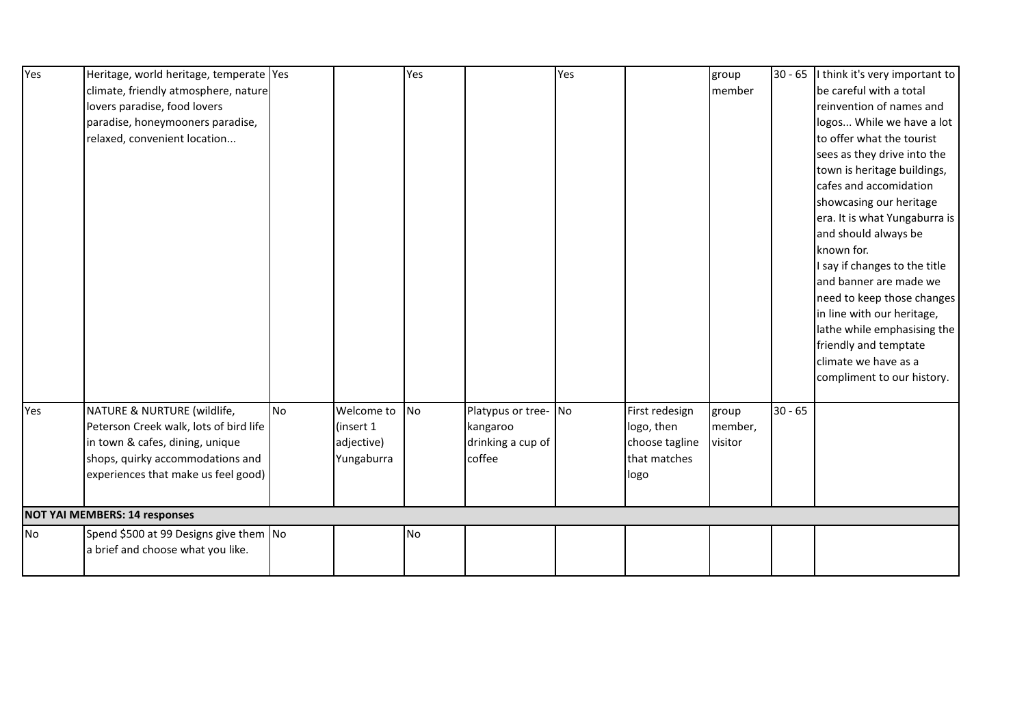| Yes | Heritage, world heritage, temperate Yes |    |            | Yes       |                   | Yes |                | group   |           | 30 - 65   think it's very important to |
|-----|-----------------------------------------|----|------------|-----------|-------------------|-----|----------------|---------|-----------|----------------------------------------|
|     | climate, friendly atmosphere, nature    |    |            |           |                   |     |                | member  |           | be careful with a total                |
|     | lovers paradise, food lovers            |    |            |           |                   |     |                |         |           | reinvention of names and               |
|     | paradise, honeymooners paradise,        |    |            |           |                   |     |                |         |           | logos While we have a lot              |
|     | relaxed, convenient location            |    |            |           |                   |     |                |         |           | to offer what the tourist              |
|     |                                         |    |            |           |                   |     |                |         |           | sees as they drive into the            |
|     |                                         |    |            |           |                   |     |                |         |           | town is heritage buildings,            |
|     |                                         |    |            |           |                   |     |                |         |           | cafes and accomidation                 |
|     |                                         |    |            |           |                   |     |                |         |           | showcasing our heritage                |
|     |                                         |    |            |           |                   |     |                |         |           | era. It is what Yungaburra is          |
|     |                                         |    |            |           |                   |     |                |         |           | and should always be                   |
|     |                                         |    |            |           |                   |     |                |         |           | known for.                             |
|     |                                         |    |            |           |                   |     |                |         |           | I say if changes to the title          |
|     |                                         |    |            |           |                   |     |                |         |           | and banner are made we                 |
|     |                                         |    |            |           |                   |     |                |         |           | need to keep those changes             |
|     |                                         |    |            |           |                   |     |                |         |           | in line with our heritage,             |
|     |                                         |    |            |           |                   |     |                |         |           | lathe while emphasising the            |
|     |                                         |    |            |           |                   |     |                |         |           | friendly and temptate                  |
|     |                                         |    |            |           |                   |     |                |         |           | climate we have as a                   |
|     |                                         |    |            |           |                   |     |                |         |           | compliment to our history.             |
|     |                                         |    |            |           |                   |     |                |         |           |                                        |
| Yes | NATURE & NURTURE (wildlife,             | No | Welcome to | <b>No</b> | Platypus or tree- | No  | First redesign | group   | $30 - 65$ |                                        |
|     | Peterson Creek walk, lots of bird life  |    | (insert 1) |           | kangaroo          |     | logo, then     | member, |           |                                        |
|     | in town & cafes, dining, unique         |    | adjective) |           | drinking a cup of |     | choose tagline | visitor |           |                                        |
|     | shops, quirky accommodations and        |    | Yungaburra |           | coffee            |     | that matches   |         |           |                                        |
|     | experiences that make us feel good)     |    |            |           |                   |     | logo           |         |           |                                        |
|     |                                         |    |            |           |                   |     |                |         |           |                                        |
|     | <b>NOT YAI MEMBERS: 14 responses</b>    |    |            |           |                   |     |                |         |           |                                        |
| No  | Spend \$500 at 99 Designs give them No  |    |            | <b>No</b> |                   |     |                |         |           |                                        |
|     | a brief and choose what you like.       |    |            |           |                   |     |                |         |           |                                        |
|     |                                         |    |            |           |                   |     |                |         |           |                                        |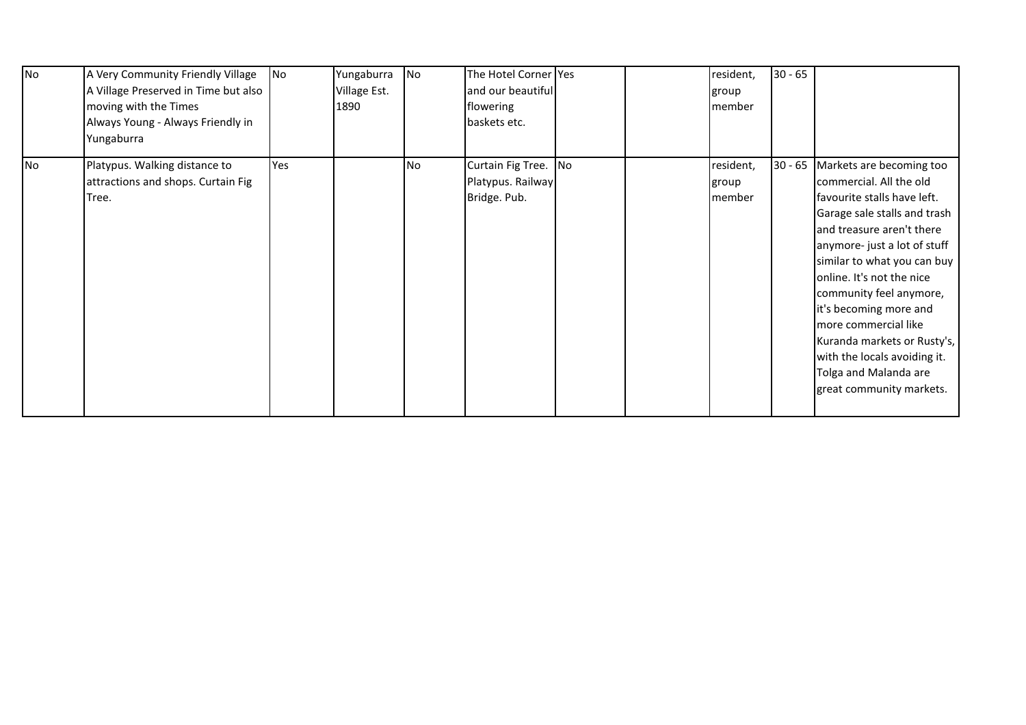| No | A Very Community Friendly Village<br>A Village Preserved in Time but also<br>moving with the Times<br>Always Young - Always Friendly in<br>Yungaburra | N <sub>O</sub> | Yungaburra<br>Village Est.<br>1890 | <b>No</b> | The Hotel Corner Yes<br>and our beautiful<br>flowering<br>baskets etc. |    | resident,<br>group<br>member | $30 - 65$ |                                                                                                                                                                                                                                                                                                                                                                                                                                                      |
|----|-------------------------------------------------------------------------------------------------------------------------------------------------------|----------------|------------------------------------|-----------|------------------------------------------------------------------------|----|------------------------------|-----------|------------------------------------------------------------------------------------------------------------------------------------------------------------------------------------------------------------------------------------------------------------------------------------------------------------------------------------------------------------------------------------------------------------------------------------------------------|
| No | Platypus. Walking distance to<br>attractions and shops. Curtain Fig<br>Tree.                                                                          | Yes            |                                    | No        | Curtain Fig Tree.<br>Platypus. Railway<br>Bridge. Pub.                 | No | resident,<br>group<br>member |           | 30 - 65 Markets are becoming too<br>commercial. All the old<br>favourite stalls have left.<br>Garage sale stalls and trash<br>and treasure aren't there<br>anymore- just a lot of stuff<br>similar to what you can buy<br>online. It's not the nice<br>community feel anymore,<br>it's becoming more and<br>more commercial like<br>Kuranda markets or Rusty's,<br>with the locals avoiding it.<br>Tolga and Malanda are<br>great community markets. |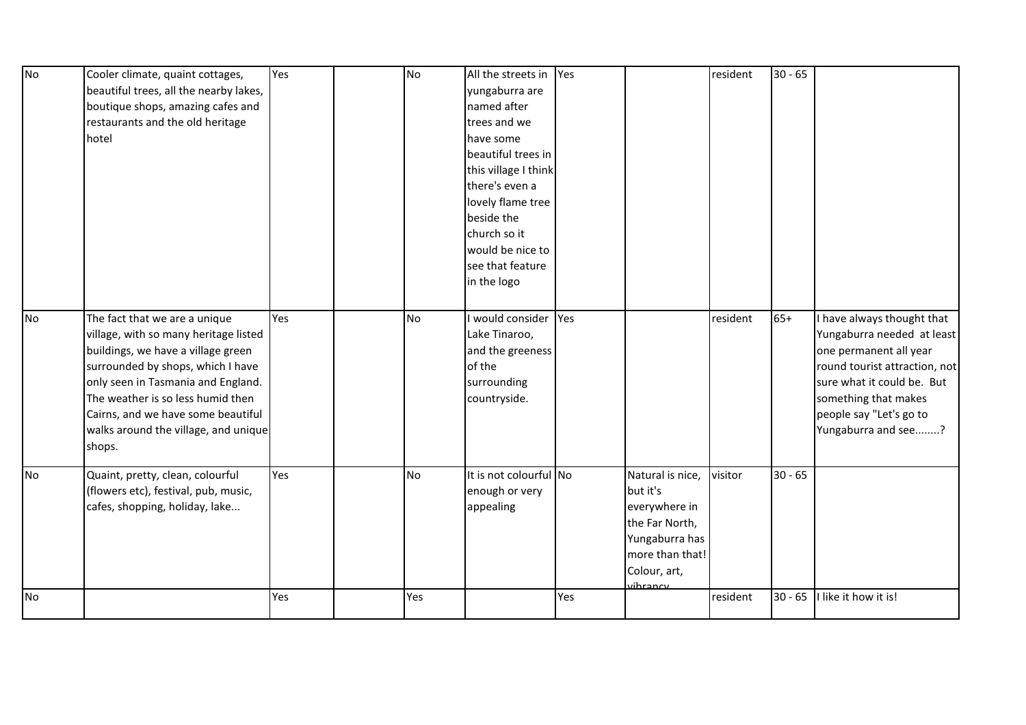| No        | Cooler climate, quaint cottages,<br>beautiful trees, all the nearby lakes,<br>boutique shops, amazing cafes and<br>restaurants and the old heritage<br>hotel                                                                                                                                                         | Yes | <b>No</b> | All the streets in<br>yungaburra are<br>named after<br>trees and we<br>have some<br>beautiful trees in<br>this village I think<br>there's even a<br>lovely flame tree<br>beside the<br>church so it<br>would be nice to<br>see that feature<br>in the logo | Yes |                                                                                                                                  | resident | $30 - 65$ |                                                                                                                                                                                                                             |
|-----------|----------------------------------------------------------------------------------------------------------------------------------------------------------------------------------------------------------------------------------------------------------------------------------------------------------------------|-----|-----------|------------------------------------------------------------------------------------------------------------------------------------------------------------------------------------------------------------------------------------------------------------|-----|----------------------------------------------------------------------------------------------------------------------------------|----------|-----------|-----------------------------------------------------------------------------------------------------------------------------------------------------------------------------------------------------------------------------|
| No        | The fact that we are a unique<br>village, with so many heritage listed<br>buildings, we have a village green<br>surrounded by shops, which I have<br>only seen in Tasmania and England.<br>The weather is so less humid then<br>Cairns, and we have some beautiful<br>walks around the village, and unique<br>shops. | Yes | <b>No</b> | would consider<br>Lake Tinaroo,<br>and the greeness<br>of the<br>surrounding<br>countryside.                                                                                                                                                               | Yes |                                                                                                                                  | resident | $65+$     | I have always thought that<br>Yungaburra needed at least<br>one permanent all year<br>round tourist attraction, not<br>sure what it could be. But<br>something that makes<br>people say "Let's go to<br>Yungaburra and see? |
| <b>No</b> | Quaint, pretty, clean, colourful<br>(flowers etc), festival, pub, music,<br>cafes, shopping, holiday, lake                                                                                                                                                                                                           | Yes | <b>No</b> | It is not colourful No<br>enough or very<br>appealing                                                                                                                                                                                                      |     | Natural is nice,<br>but it's<br>everywhere in<br>the Far North,<br>Yungaburra has<br>more than that!<br>Colour, art,<br>vihrancy | visitor  | $30 - 65$ |                                                                                                                                                                                                                             |
| <b>No</b> |                                                                                                                                                                                                                                                                                                                      | Yes | Yes       |                                                                                                                                                                                                                                                            | Yes |                                                                                                                                  | resident | $30 - 65$ | I like it how it is!                                                                                                                                                                                                        |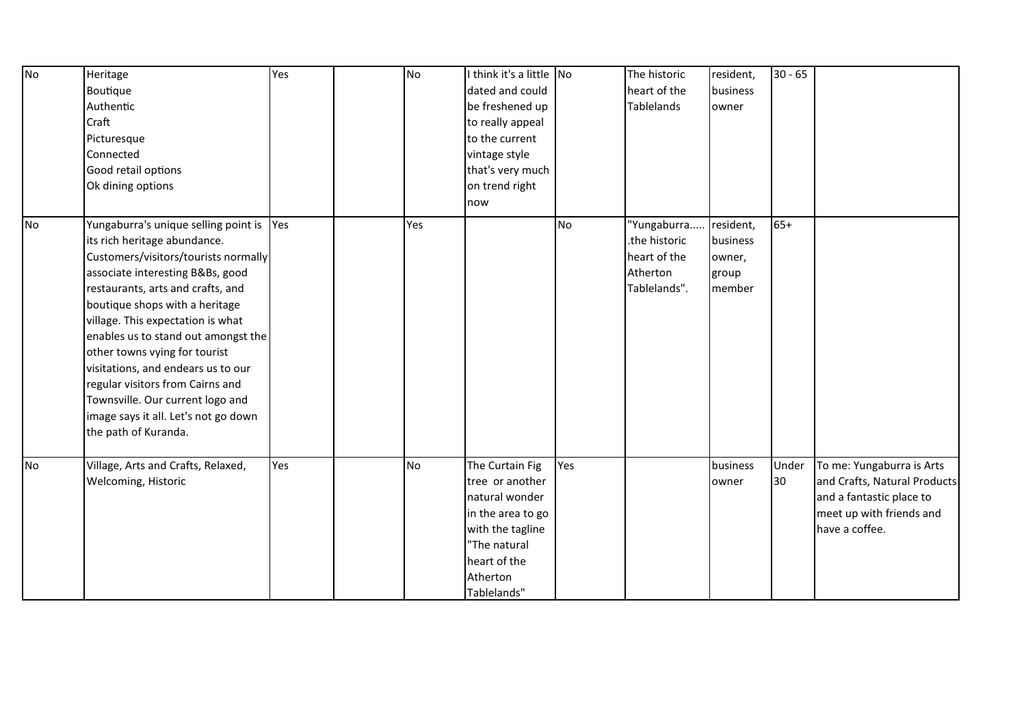| <b>No</b> | Heritage                                 | Yes | <b>No</b> | I think it's a little No |           | The historic      | resident, | $30 - 65$ |                              |
|-----------|------------------------------------------|-----|-----------|--------------------------|-----------|-------------------|-----------|-----------|------------------------------|
|           | Boutique                                 |     |           | dated and could          |           | heart of the      | business  |           |                              |
|           | Authentic                                |     |           | be freshened up          |           | <b>Tablelands</b> | owner     |           |                              |
|           | Craft                                    |     |           | to really appeal         |           |                   |           |           |                              |
|           | Picturesque                              |     |           | to the current           |           |                   |           |           |                              |
|           | Connected                                |     |           | vintage style            |           |                   |           |           |                              |
|           | Good retail options                      |     |           | that's very much         |           |                   |           |           |                              |
|           | Ok dining options                        |     |           | on trend right           |           |                   |           |           |                              |
|           |                                          |     |           | now                      |           |                   |           |           |                              |
| No        | Yungaburra's unique selling point is Yes |     | Yes       |                          | <b>No</b> | 'Yungaburra       | resident, | $65+$     |                              |
|           | its rich heritage abundance.             |     |           |                          |           | the historic.     | business  |           |                              |
|           | Customers/visitors/tourists normally     |     |           |                          |           | heart of the      | owner,    |           |                              |
|           | associate interesting B&Bs, good         |     |           |                          |           | Atherton          | group     |           |                              |
|           | restaurants, arts and crafts, and        |     |           |                          |           | Tablelands".      | member    |           |                              |
|           | boutique shops with a heritage           |     |           |                          |           |                   |           |           |                              |
|           | village. This expectation is what        |     |           |                          |           |                   |           |           |                              |
|           | enables us to stand out amongst the      |     |           |                          |           |                   |           |           |                              |
|           | other towns vying for tourist            |     |           |                          |           |                   |           |           |                              |
|           | visitations, and endears us to our       |     |           |                          |           |                   |           |           |                              |
|           | regular visitors from Cairns and         |     |           |                          |           |                   |           |           |                              |
|           | Townsville. Our current logo and         |     |           |                          |           |                   |           |           |                              |
|           | image says it all. Let's not go down     |     |           |                          |           |                   |           |           |                              |
|           | the path of Kuranda.                     |     |           |                          |           |                   |           |           |                              |
| No        | Village, Arts and Crafts, Relaxed,       | Yes | <b>No</b> | The Curtain Fig          | Yes       |                   | business  | Under     | To me: Yungaburra is Arts    |
|           | Welcoming, Historic                      |     |           | tree or another          |           |                   | owner     | 30        | and Crafts, Natural Products |
|           |                                          |     |           | natural wonder           |           |                   |           |           | and a fantastic place to     |
|           |                                          |     |           | in the area to go        |           |                   |           |           | meet up with friends and     |
|           |                                          |     |           | with the tagline         |           |                   |           |           | have a coffee.               |
|           |                                          |     |           | "The natural             |           |                   |           |           |                              |
|           |                                          |     |           | heart of the             |           |                   |           |           |                              |
|           |                                          |     |           | Atherton                 |           |                   |           |           |                              |
|           |                                          |     |           | Tablelands"              |           |                   |           |           |                              |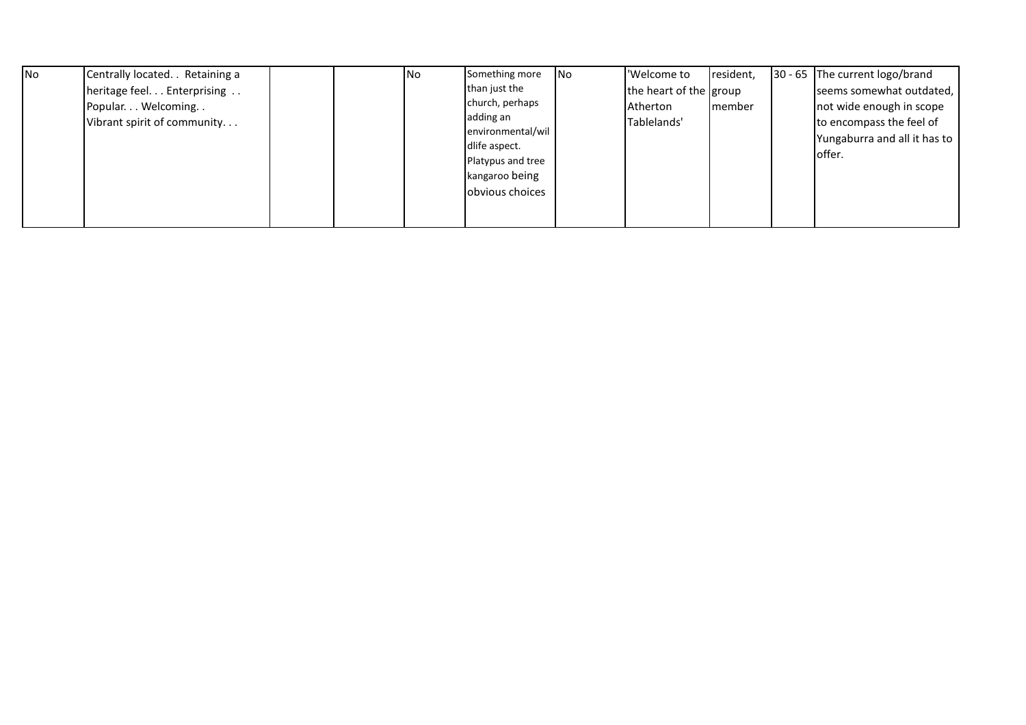| <b>INo</b> | Centrally located. . Retaining a                     |  | No | Something more                                                                               | <b>INo</b> | 'Welcome to                                       | resident, | 30 - 65 The current logo/brand                                     |
|------------|------------------------------------------------------|--|----|----------------------------------------------------------------------------------------------|------------|---------------------------------------------------|-----------|--------------------------------------------------------------------|
|            | heritage feel. Enterprising<br>Popular. Welcoming. . |  |    | than just the<br>church, perhaps<br>adding an                                                |            | the heart of the group<br>Atherton<br>Tablelands' | member    | seems somewhat outdated,<br>not wide enough in scope               |
|            | Vibrant spirit of community                          |  |    | environmental/wil<br>dlife aspect.<br>Platypus and tree<br>kangaroo being<br>obvious choices |            |                                                   |           | to encompass the feel of<br>Yungaburra and all it has to<br>offer. |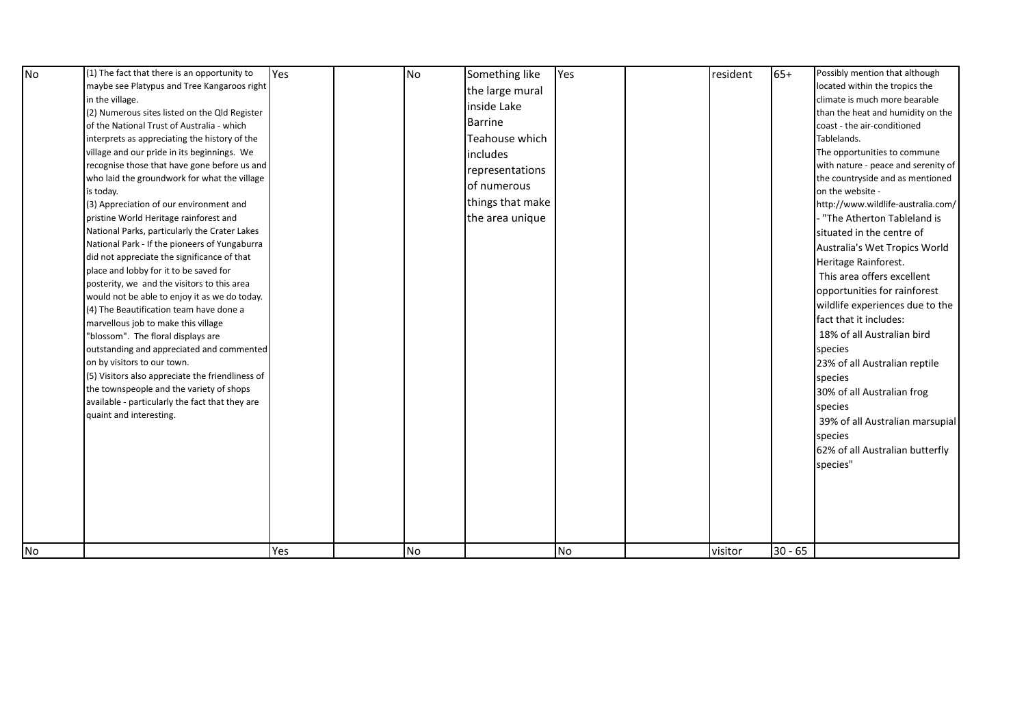| maybe see Platypus and Tree Kangaroos right | in the village.<br>(2) Numerous sites listed on the Qld Register<br>of the National Trust of Australia - which<br>interprets as appreciating the history of the<br>village and our pride in its beginnings. We<br>recognise those that have gone before us and<br>who laid the groundwork for what the village<br>is today.<br>(3) Appreciation of our environment and<br>pristine World Heritage rainforest and<br>National Parks, particularly the Crater Lakes<br>National Park - If the pioneers of Yungaburra<br>did not appreciate the significance of that<br>place and lobby for it to be saved for<br>posterity, we and the visitors to this area<br>would not be able to enjoy it as we do today.<br>(4) The Beautification team have done a<br>marvellous job to make this village<br>"blossom". The floral displays are<br>outstanding and appreciated and commented<br>on by visitors to our town.<br>(5) Visitors also appreciate the friendliness of<br>the townspeople and the variety of shops<br>available - particularly the fact that they are<br>quaint and interesting. |     |           | the large mural<br>inside Lake<br><b>Barrine</b><br>Teahouse which<br>includes<br>representations<br>of numerous<br>things that make<br>the area unique |    |         |           | climate is much more bearable<br>than the heat and humidity on the<br>coast - the air-conditioned<br>Tablelands.<br>The opportunities to commune<br>with nature - peace and serenity of<br>the countryside and as mentioned<br>on the website -<br>http://www.wildlife-australia.com/<br>- "The Atherton Tableland is<br>situated in the centre of<br>Australia's Wet Tropics World<br>Heritage Rainforest.<br>This area offers excellent<br>opportunities for rainforest<br>wildlife experiences due to the<br>fact that it includes:<br>18% of all Australian bird<br>species<br>23% of all Australian reptile<br>species<br>30% of all Australian frog<br>species<br>39% of all Australian marsupial<br>species<br>62% of all Australian butterfly<br>species" |
|---------------------------------------------|-----------------------------------------------------------------------------------------------------------------------------------------------------------------------------------------------------------------------------------------------------------------------------------------------------------------------------------------------------------------------------------------------------------------------------------------------------------------------------------------------------------------------------------------------------------------------------------------------------------------------------------------------------------------------------------------------------------------------------------------------------------------------------------------------------------------------------------------------------------------------------------------------------------------------------------------------------------------------------------------------------------------------------------------------------------------------------------------------|-----|-----------|---------------------------------------------------------------------------------------------------------------------------------------------------------|----|---------|-----------|-------------------------------------------------------------------------------------------------------------------------------------------------------------------------------------------------------------------------------------------------------------------------------------------------------------------------------------------------------------------------------------------------------------------------------------------------------------------------------------------------------------------------------------------------------------------------------------------------------------------------------------------------------------------------------------------------------------------------------------------------------------------|
| No                                          |                                                                                                                                                                                                                                                                                                                                                                                                                                                                                                                                                                                                                                                                                                                                                                                                                                                                                                                                                                                                                                                                                               | Yes | <b>No</b> |                                                                                                                                                         | No | visitor | $30 - 65$ |                                                                                                                                                                                                                                                                                                                                                                                                                                                                                                                                                                                                                                                                                                                                                                   |